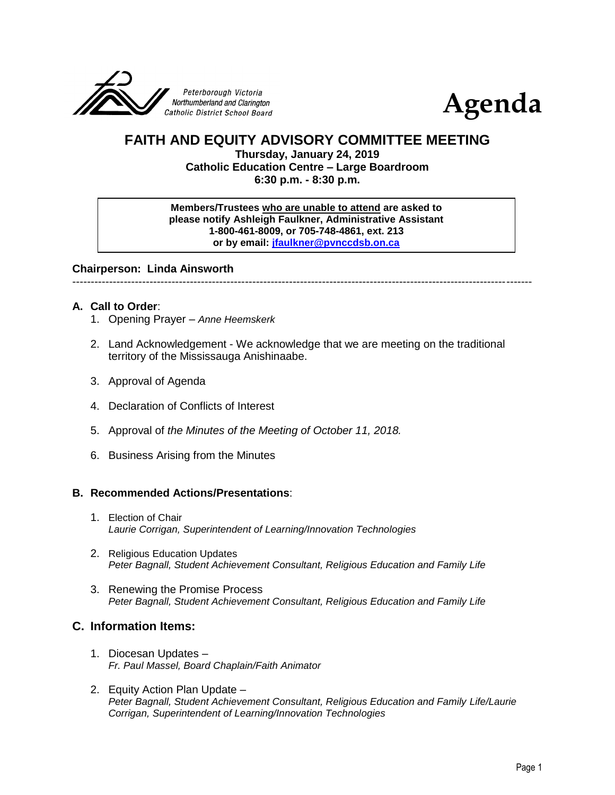



# **FAITH AND EQUITY ADVISORY COMMITTEE MEETING**

**Thursday, January 24, 2019 Catholic Education Centre – Large Boardroom 6:30 p.m. - 8:30 p.m.**

**Members/Trustees who are unable to attend are asked to please notify Ashleigh Faulkner, Administrative Assistant 1-800-461-8009, or 705-748-4861, ext. 213 or by email: [jfaulkner@pvnccdsb.on.ca](mailto:jfaulkner@pvnccdsb.on.ca)**

**Chairperson: Linda Ainsworth**

-----------------------------------------------------------------------------------------------------------------------------

## **A. Call to Order**:

- 1. Opening Prayer *Anne Heemskerk*
- 2. Land Acknowledgement We acknowledge that we are meeting on the traditional territory of the Mississauga Anishinaabe.
- 3. Approval of Agenda
- 4. Declaration of Conflicts of Interest
- 5. Approval of *the Minutes of the Meeting of October 11, 2018.*
- 6. Business Arising from the Minutes

#### **B. Recommended Actions/Presentations**:

- 1. Election of Chair *Laurie Corrigan, Superintendent of Learning/Innovation Technologies*
- 2. Religious Education Updates *Peter Bagnall, Student Achievement Consultant, Religious Education and Family Life*
- 3. Renewing the Promise Process *Peter Bagnall, Student Achievement Consultant, Religious Education and Family Life*

# **C. Information Items:**

- 1. Diocesan Updates *Fr. Paul Massel, Board Chaplain/Faith Animator*
- 2. Equity Action Plan Update *Peter Bagnall, Student Achievement Consultant, Religious Education and Family Life/Laurie Corrigan, Superintendent of Learning/Innovation Technologies*